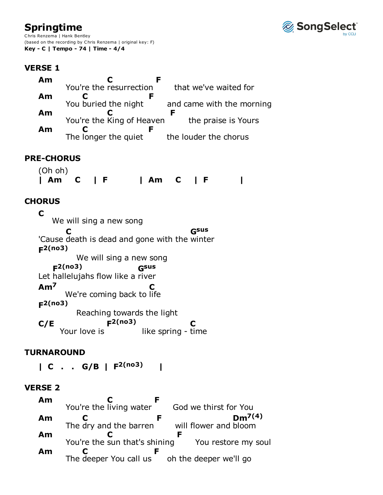# **Springtime**

Chris Renzema | Hank Bentley (based on the recording by Chris Renzema | original key: F) **Key - C | Tempo - 74 | Time - 4/4**



## **VERSE 1**

| Am | You're the resurrection   | that we've waited for     |
|----|---------------------------|---------------------------|
| Am | F                         |                           |
|    | You buried the night      | and came with the morning |
| Am | You're the King of Heaven | the praise is Yours       |
| Am | The longer the quiet      | the louder the chorus     |
|    |                           |                           |

## **PRE-CHORUS**

(Oh oh) **| Am C | F | Am C | F |**

## **CHORUS**

We will sing a new song 'Cause death is dead and gone with the winter We will sing a new song Let hallelujahs flow like a river We're coming back to life Reaching towards the light Your love is like spring - time **C C Gsus F 2(no3) F 2(no3) Gsus Am7 C F 2(no3) C/E** Your love is  $F<sup>2</sup>(no3)$ **C**

#### **TURNAROUND**

**| C . . G/B | F 2(no3) |**

#### **VERSE 2**

| Am |                               |                        |
|----|-------------------------------|------------------------|
|    | You're the living water       | God we thirst for You  |
| Am |                               | $Dm^{7(4)}$            |
|    | The dry and the barren        | will flower and bloom  |
| Am |                               |                        |
|    | You're the sun that's shining | You restore my soul    |
| Am |                               |                        |
|    | The deeper You call us        | oh the deeper we'll go |